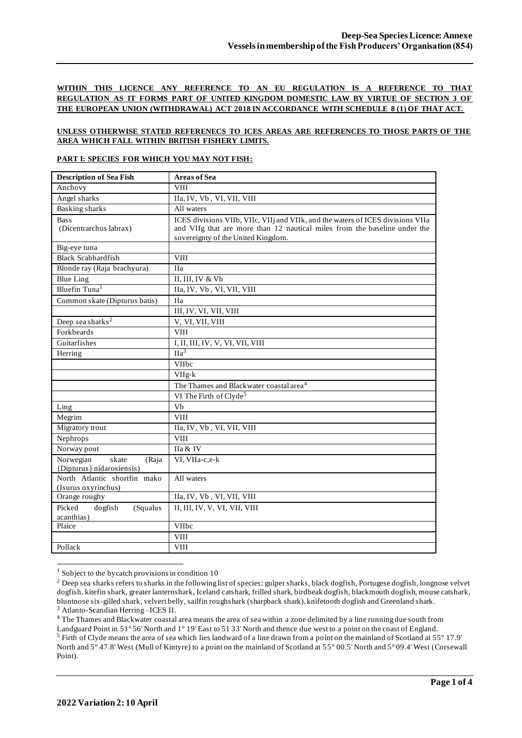## **WITHIN THIS LICENCE ANY REFERENCE TO AN EU REGULATION IS A REFERENCE TO THAT REGULATION AS IT FORMS PART OF UNITED KINGDOM DOMESTIC LAW BY VIRTUE OF SECTION 3 OF THE EUROPEAN UNION (WITHDRAWAL) ACT 2018 IN ACCORDANCE WITH SCHEDULE 8 (1) OF THAT ACT.**

#### **UNLESS OTHERWISE STATED REFERENECS TO ICES AREAS ARE REFERENCES TO THOSE PARTS OF THE AREA WHICH FALL WITHIN BRITISH FISHERY LIMITS.**

#### **PART I: SPECIES FOR WHICH YOU MAY NOT FISH:**

| <b>Description of Sea Fish</b>                           | <b>Areas of Sea</b>                                                                                                                                                                                |
|----------------------------------------------------------|----------------------------------------------------------------------------------------------------------------------------------------------------------------------------------------------------|
| Anchovy                                                  | <b>VIII</b>                                                                                                                                                                                        |
| Angel sharks                                             | IIa, IV, Vb, VI, VII, VIII                                                                                                                                                                         |
| <b>Basking sharks</b>                                    | All waters                                                                                                                                                                                         |
| <b>Bass</b><br>(Dicentrarchus labrax)                    | ICES divisions VIIb, VIIc, VIIj and VIIk, and the waters of ICES divisions VIIa<br>and VIIg that are more than 12 nautical miles from the baseline under the<br>sovereignty of the United Kingdom. |
| Big-eye tuna                                             |                                                                                                                                                                                                    |
| <b>Black Scabbardfish</b>                                | <b>VIII</b>                                                                                                                                                                                        |
| Blonde ray (Raja brachyura)                              | <b>IIa</b>                                                                                                                                                                                         |
| <b>Blue Ling</b>                                         | II, III, IV & Vb                                                                                                                                                                                   |
| Bluefin Tuna <sup>1</sup>                                | IIa, IV, Vb, VI, VII, VIII                                                                                                                                                                         |
| Common skate (Dipturus batis)                            | <b>IIa</b>                                                                                                                                                                                         |
|                                                          | III, IV, VI, VII, VIII                                                                                                                                                                             |
| Deep sea sharks <sup>2</sup>                             | V, VI, VII, VIII                                                                                                                                                                                   |
| Forkbeards                                               | <b>VIII</b>                                                                                                                                                                                        |
| Guitarfishes                                             | I, II, III, IV, V, VI, VII, VIII                                                                                                                                                                   |
| Herring                                                  | $\overline{IIa}^3$                                                                                                                                                                                 |
|                                                          | VIIbc                                                                                                                                                                                              |
|                                                          | $VIIg-k$                                                                                                                                                                                           |
|                                                          | The Thames and Blackwater coastal area <sup>4</sup>                                                                                                                                                |
|                                                          | VI The Firth of Clyde <sup>5</sup>                                                                                                                                                                 |
| Ling                                                     | Vb                                                                                                                                                                                                 |
| Megrim                                                   | <b>VIII</b>                                                                                                                                                                                        |
| Migratory trout                                          | IIa, IV, Vb, VI, VII, VIII                                                                                                                                                                         |
| Nephrops                                                 | <b>VIII</b>                                                                                                                                                                                        |
| Norway pout                                              | IIa & IV                                                                                                                                                                                           |
| Norwegian<br>skate<br>(Raja<br>{Dipturus} nidarosiensis) | VI, VIIa-c,e-k                                                                                                                                                                                     |
| North Atlantic shortfin mako<br>(Isurus oxyrinchus)      | All waters                                                                                                                                                                                         |
| Orange roughy                                            | IIa, IV, Vb, VI, VII, VIII                                                                                                                                                                         |
| Picked<br>dogfish<br>(Squalus<br>acanthias)              | II, III, IV, V, VI, VII, VIII                                                                                                                                                                      |
| Plaice                                                   | VIIbc                                                                                                                                                                                              |
|                                                          | <b>VIII</b>                                                                                                                                                                                        |
| Pollack                                                  | <b>VIII</b>                                                                                                                                                                                        |

 $1$  Subject to the bycatch provisions in condition 10

<sup>&</sup>lt;sup>2</sup> Deep sea sharks refers to sharks in the following list of species: gulper sharks, black dogfish, Portugese dogfish, longnose velvet dogfish, kitefin shark, greater lanternshark, Iceland catshark, frilled shark, birdbeak dogfish, blackmouth dogfish, mouse catshark, bluntnose six-gilled shark, velvert belly, sailfin roughshark (sharpback shark), knifetooth dogfish and Greenland shark. <sup>3</sup> Atlanto-Scandian Herring –ICES II.

<sup>&</sup>lt;sup>4</sup> The Thames and Blackwater coastal area means the area of sea within a zone delimited by a line running due south from Landguard Point in 51° 56' North and 1° 19' East to 51 33' North and thence due west to a point on the coast of England.

<sup>5</sup> Firth of Clyde means the area of sea which lies landward of a line drawn from a point on the mainland of Scotland at 55° 17.9' North and 5° 47.8' West (Mull of Kintyre) to a point on the mainland of Scotland at 55° 00.5' North and 5° 09.4' West (Corsewall Point).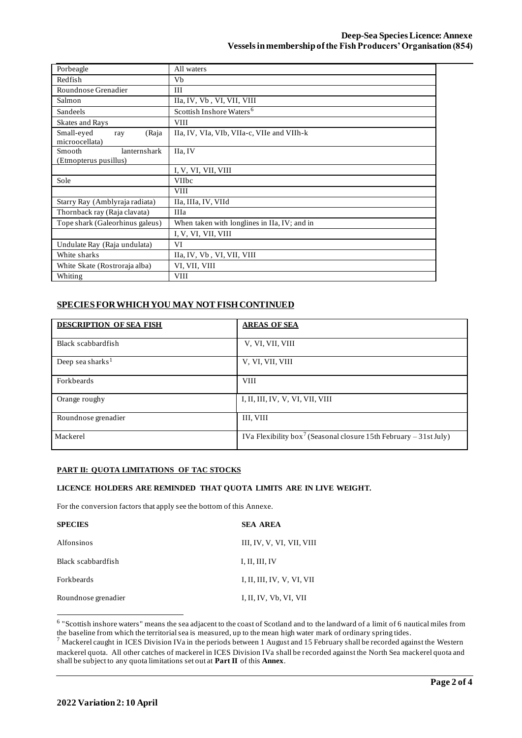| Porbeagle                       | All waters                                   |  |  |  |
|---------------------------------|----------------------------------------------|--|--|--|
| Redfish                         | Vb                                           |  |  |  |
| Roundnose Grenadier             | III                                          |  |  |  |
| Salmon                          | IIa, IV, Vb, VI, VII, VIII                   |  |  |  |
| Sandeels                        | Scottish Inshore Waters <sup>6</sup>         |  |  |  |
| <b>Skates and Rays</b>          | <b>VIII</b>                                  |  |  |  |
| Small-eyed<br>(Raja<br>ray      | IIa, IV, VIa, VIb, VIIa-c, VIIe and VIIh-k   |  |  |  |
| microocellata)                  |                                              |  |  |  |
| lanternshark<br>Smooth          | IIa, IV                                      |  |  |  |
| (Etmopterus pusillus)           |                                              |  |  |  |
|                                 | I, V, VI, VII, VIII                          |  |  |  |
| Sole                            | <b>VIIbc</b>                                 |  |  |  |
|                                 | <b>VIII</b>                                  |  |  |  |
| Starry Ray (Amblyraja radiata)  | IIa, IIIa, IV, VIId                          |  |  |  |
| Thornback ray (Raja clavata)    | <b>IIIa</b>                                  |  |  |  |
| Tope shark (Galeorhinus galeus) | When taken with longlines in IIa, IV; and in |  |  |  |
|                                 | I, V, VI, VII, VIII                          |  |  |  |
| Undulate Ray (Raja undulata)    | VI                                           |  |  |  |
| White sharks                    | IIa, IV, Vb, VI, VII, VIII                   |  |  |  |
| White Skate (Rostroraja alba)   | VI, VII, VIII                                |  |  |  |
| Whiting                         | <b>VIII</b>                                  |  |  |  |

## **SPECIES FOR WHICH YOU MAY NOT FISH CONTINUED**

| <b>DESCRIPTION OF SEA FISH</b> | <b>AREAS OF SEA</b>                                                           |
|--------------------------------|-------------------------------------------------------------------------------|
| Black scabbardfish             | V, VI, VII, VIII                                                              |
| Deep sea sharks <sup>1</sup>   | V, VI, VII, VIII                                                              |
| Forkbeards                     | <b>VIII</b>                                                                   |
| Orange roughy                  | I, II, III, IV, V, VI, VII, VIII                                              |
| Roundnose grenadier            | III, VIII                                                                     |
| Mackerel                       | IVa Flexibility box <sup>7</sup> (Seasonal closure 15th February – 31st July) |

### **PART II: QUOTA LIMITATIONS OF TAC STOCKS**

### **LICENCE HOLDERS ARE REMINDED THAT QUOTA LIMITS ARE IN LIVE WEIGHT.**

For the conversion factors that apply see the bottom of this Annexe.

| <b>SPECIES</b>      | <b>SEA AREA</b>            |
|---------------------|----------------------------|
| Alfonsinos          | III, IV, V, VI, VII, VIII  |
| Black scabbardfish  | I, II, III, IV             |
| <b>Forkbeards</b>   | I, II, III, IV, V, VI, VII |
| Roundnose grenadier | I, II, IV, Vb, VI, VII     |

<sup>6</sup> "Scottish inshore waters" means the sea adjacent to the coast of Scotland and to the landward of a limit of 6 nautical miles from the baseline from which the territorial sea is measured, up to the mean high water mark of ordinary spring tides.

 $<sup>7</sup>$  Mackerel caught in ICES Division IVa in the periods between 1 August and 15 February shall be recorded against the Western</sup> mackerel quota. All other catches of mackerel in ICES Division IVa shall be recorded against the North Sea mackerel quota and shall be subject to any quota limitations set out at **Part II** of this **Annex**.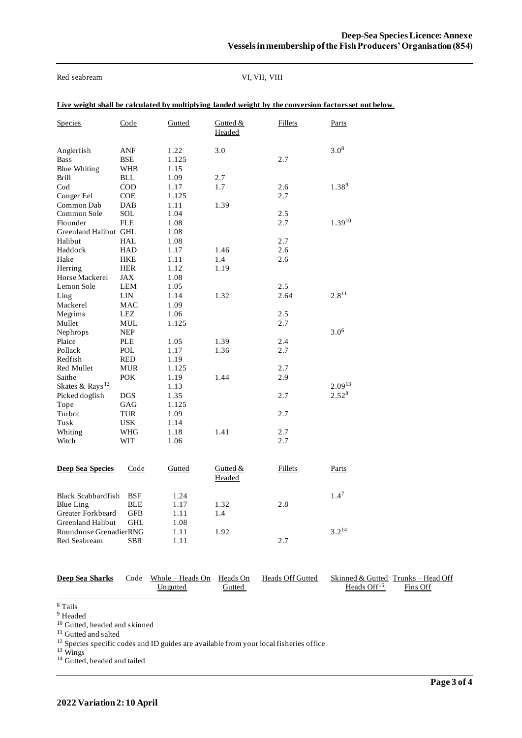Red seabream VI, VII, VIII

| <b>Species</b>                            | Code                     | Gutted                | Gutted &<br>Headed   | <b>Fillets</b> | Parts       |
|-------------------------------------------|--------------------------|-----------------------|----------------------|----------------|-------------|
| Anglerfish<br>Bass<br><b>Blue Whiting</b> | ANF<br>BSE<br><b>WHB</b> | 1.22<br>1.125<br>1.15 | 3.0                  | 2.7            | $3.0^{8}$   |
| <b>Brill</b>                              | <b>BLL</b>               | 1.09                  | 2.7                  |                |             |
| $\mathrm{Cod}$                            | <b>COD</b>               | 1.17                  | 1.7                  | 2.6            | $1.38^{9}$  |
| Conger Eel                                | COE                      | 1.125                 |                      | 2.7            |             |
| Common Dab                                | DAB                      | 1.11                  | 1.39                 |                |             |
| Common Sole                               | SOL                      | 1.04                  |                      | 2.5            |             |
| Flounder                                  | <b>FLE</b>               | 1.08                  |                      | 2.7            | $1.39^{10}$ |
| Greenland Halibut GHL                     |                          | 1.08                  |                      |                |             |
| Halibut                                   | HAL                      | 1.08                  |                      | 2.7            |             |
| Haddock                                   | <b>HAD</b>               | 1.17                  | 1.46                 | 2.6            |             |
| Hake                                      | HKE                      | 1.11                  | 1.4                  | 2.6            |             |
| Herring                                   | <b>HER</b>               | 1.12                  | 1.19                 |                |             |
| Horse Mackerel                            | JAX                      | 1.08                  |                      |                |             |
| Lemon Sole                                | <b>LEM</b><br>LIN        | 1.05<br>1.14          | 1.32                 | 2.5<br>2.64    | $2.8^{11}$  |
| Ling<br>Mackerel                          | MAC                      | 1.09                  |                      |                |             |
| Megrims                                   | LEZ                      | 1.06                  |                      | 2.5            |             |
| Mullet                                    | MUL                      | 1.125                 |                      | 2.7            |             |
| Nephrops                                  | <b>NEP</b>               |                       |                      |                | $3.0^{6}$   |
| Plaice                                    | PLE                      | 1.05                  | 1.39                 | 2.4            |             |
| Pollack                                   | POL                      | 1.17                  | 1.36                 | 2.7            |             |
| Redfish                                   | <b>RED</b>               | 1.19                  |                      |                |             |
| Red Mullet                                | <b>MUR</b>               | 1.125                 |                      | 2.7            |             |
| Saithe                                    | <b>POK</b>               | 1.19                  | 1.44                 | 2.9            |             |
| Skates & Rays <sup>12</sup>               |                          | 1.13                  |                      |                | $2.09^{13}$ |
| Picked dogfish                            | <b>DGS</b>               | 1.35                  |                      | 2.7            | $2.52^{8}$  |
| Tope                                      | GAG                      | 1.125                 |                      |                |             |
| Turbot                                    | <b>TUR</b>               | 1.09                  |                      | 2.7            |             |
| Tusk                                      | <b>USK</b>               | 1.14                  |                      |                |             |
| Whiting                                   | WHG                      | 1.18                  | 1.41                 | 2.7            |             |
| Witch                                     | WIT                      | 1.06                  |                      | 2.7            |             |
|                                           |                          |                       |                      |                |             |
| <b>Deep Sea Species</b>                   | Code                     | Gutted                | Gutted $&$<br>Headed | Fillets        | Parts       |
| <b>Black Scabbardfish</b>                 | <b>BSF</b>               | 1.24                  |                      |                | $1.4^7$     |
| <b>Blue Ling</b>                          | <b>BLE</b>               | 1.17                  | 1.32                 | 2.8            |             |
| Greater Forkbeard                         | <b>GFB</b>               | 1.11                  | 1.4                  |                |             |
| Greenland Halibut                         | <b>GHL</b>               | 1.08                  |                      |                |             |
| Roundnose GrenadierRNG                    |                          | 1.11                  | 1.92                 |                | $3.2^{14}$  |
| Red Seabream                              | <b>SBR</b>               | 1.11                  |                      | 2.7            |             |

| <b>Deep Sea Sharks</b> | Code Whole – Heads On Heads On<br>Ungutted | Gutted | Heads Off Gutted | Heads $Off15$ | Skinned & Gutted Trunks – Head Off<br>Fins Off |
|------------------------|--------------------------------------------|--------|------------------|---------------|------------------------------------------------|
|                        |                                            |        |                  |               |                                                |

<sup>8</sup> Tails

<sup>9</sup> Headed

<sup>10</sup> Gutted, headed and skinned

<sup>11</sup> Gutted and salted

<sup>12</sup> Species specific codes and ID guides are available from your local fisheries office

<sup>13</sup> Wings

<sup>14</sup> Gutted, headed and tailed